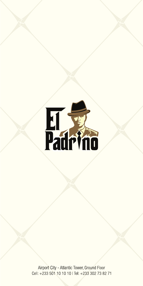

Airport City - Atlantic Tower, Ground Floor Cell: +233 501 10 10 10 | Tel: +233 302 73 82 71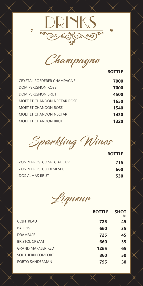



**BOTTLE**

| <b>CRYSTAL ROEDERER CHAMPAGNE</b> | 7000 |
|-----------------------------------|------|
| DOM PERIGNON ROSE                 | 7000 |
| DOM PERIGNON BRUT                 | 4500 |
| MOET ET CHANDON NECTAR ROSE       | 1650 |
| <b>MOET ET CHANDON ROSE</b>       | 1540 |
| MOET ET CHANDON NECTAR            | 1430 |
| MOET ET CHANDON BRUT              | 1320 |

Sparkling Wines

|                             | <b>BOTTLE</b> |
|-----------------------------|---------------|
| ZONIN PROSECO SPECIAL CUVEE | 715           |
| ZONIN PROSECO DEMI SEC      | 660           |
| <b>DOS ALMAS BRUT</b>       | 530           |
|                             |               |



|                          | <b>BOTTLE</b> | <b>SHOT</b><br>3cl |
|--------------------------|---------------|--------------------|
| <b>COINTREAU</b>         | 725           | 45                 |
| <b>BAILEYS</b>           | 660           | 35                 |
| <b>DRAMBUIE</b>          | 725           | 45                 |
| <b>BRISTOL CREAM</b>     | 660           | 35                 |
| <b>GRAND MARNIER RED</b> | 1265          | 65                 |
| SOUTHERN COMFORT         | 860           | 50                 |
| PORTO SANDERMAN          | 795           | 50                 |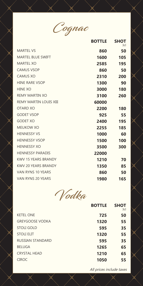

|                               | <b>BOTTLE</b> | <b>SHOT</b><br>3cl |
|-------------------------------|---------------|--------------------|
| <b>MARTEL VS</b>              | 860           | 50                 |
| <b>MARTEL BLUE SWIFT</b>      | 1600          | 105                |
| <b>MARTEL XO</b>              | 2585          | 195                |
| <b>CAMUS VSOP</b>             | 860           | 50                 |
| <b>CAMUS XO</b>               | 2310          | 200                |
| <b>HINE RARE VSOP</b>         | 1300          | 90                 |
| <b>HINE XO</b>                | 3000          | 180                |
| <b>REMY MARTIN XO</b>         | 3100          | 260                |
| <b>REMY MARTIN LOUIS XIII</b> | 60000         |                    |
| <b>OTARD XO</b>               | 2200          | 180                |
| <b>GODET VSOP</b>             | 925           | 55                 |
| <b>GODET XO</b>               | 2400          | 195                |
| <b>MEUKOW XO</b>              | 2255          | 185                |
| <b>HENNESSY VS</b>            | 1000          | 60                 |
| <b>HENNESSY VSOP</b>          | 1500          | 100                |
| <b>HENNESSY XO</b>            | 3500          | 300                |
| <b>HENNESSY PARADIS</b>       | 22000         |                    |
| <b>KWV 15 YEARS BRANDY</b>    | 1210          | 70                 |
| <b>KWV 20 YEARS BRANDY</b>    | 1350          | 85                 |
| <b>VAN RYNS 10 YEARS</b>      | 860           | 50                 |
| VAN RYNS 20 YEARS             | 1980          | 165                |

Vodka

|                         | <b>BOTTLE</b> | <b>SHOT</b><br>3cl |
|-------------------------|---------------|--------------------|
| <b>KETEL ONE</b>        | 725           | 50                 |
| <b>GREYGOOSE VODKA</b>  | 1320          | 55                 |
| <b>STOLI GOLD</b>       | 595           | 35                 |
| <b>STOLI ELIT</b>       | 1320          | 55                 |
| <b>RUSSIAN STANDARD</b> | 595           | 35                 |
| <b>BELUGA</b>           | 1265          | 65                 |
| <b>CRYSTAL HEAD</b>     | 1210          | 65                 |
| <b>CIROC</b>            | 1050          | 55                 |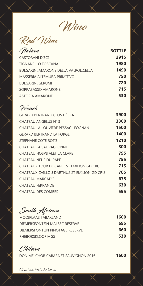Wine

Red Wine

| Italian                                     | <b>BOTTLE</b> |
|---------------------------------------------|---------------|
| <b>CASTORANI DIECI</b>                      | 2915          |
| <b>TIGNANELLO TOSCANA</b>                   | 1980          |
| <b>BULGARINI AMARONE DELLA VALPOLICELLA</b> | 1490          |
| MASSERIA ALTEMURA PRIMITIVO                 | 750           |
| BULGARINI GERUMI                            | 720           |
| SOPRASASSO AMARONE                          | 715           |
| ASTORIA AMARONE                             | 530           |
|                                             |               |

## French

| <b>GERARD BERTRAND CLOS D'ORA</b>          | 3900 |
|--------------------------------------------|------|
| CHATEAU ANGELUS N° 3                       | 3300 |
| CHATEAU LA LOUVIERE PESSAC LEOGNAN         | 1500 |
| <b>GERARD BERTRAND LA FORGE</b>            | 1400 |
| STEPHANE COTE ROTIE                        | 1210 |
| CHATEAU LA SAUVAGEONNE                     | 800  |
| <b>CHATEAU HOSPITALET LA CLAPE</b>         | 795  |
| CHATEAU NEUF DU PAPE                       | 755  |
| CHATEAUX TOUR DE CAPET ST EMILION GD CRU   | 715  |
| CHATEAUX CAILLOU DARTHUS ST EMILION GD CRU | 705  |
| CHATEAU MARCADIS                           | 675  |
| <b>CHATEAU FERRANDE</b>                    | 630  |
| <b>CHATEAU DES COMBES</b>                  | 595  |
|                                            |      |

South African

| MOOIPLAAS TABAKLAND             | 1600 |
|---------------------------------|------|
| DIEMERSFONTEIN MALBEC RESERVE   | 695  |
| DIEMERSFONTEIN PINOTAGE RESERVE | 660  |
| RHEBOKSKLOOF MGS                | 530  |

Chilean

DON MELCHOR CABARNET SAUVIGNON 2016

**1600**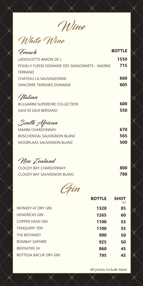Wine

White Wine

| French                                         | <b>BOTTLE</b> |
|------------------------------------------------|---------------|
| <b>LADOUCETTE BARON DE L</b>                   | 1550          |
| POUILLY FUISSE DOMAINE DES SANSONNETS - NADINE | 715           |
| <b>FERRAND</b>                                 |               |
| <b>CHATEAU LA SAUVAGEONNE</b>                  | 660           |
| SANCERRE TERROIRS DOMAINE                      | 605           |
| (Italian                                       |               |
| <b>BULGARINI SUPERIORE COLLECTION</b>          | 600           |
| <b>GAVI DI GAVI BERSANO</b>                    | 550           |
| South African                                  |               |
| <b>MAXIM CHARDONNAY</b>                        | 670           |
| <b>BOSCHENDAL SAUVIGNON BLANC</b>              | 565           |
| <b>MOOIPLAAS SAUVIGNON BLANC</b>               | 500           |
| New Zealand                                    |               |
| <b>CLOUDY BAY CHARDONNAY</b>                   | 800           |
| <b>CLOUDY BAY SAUVIGNON BLANC</b>              | 780           |
|                                                |               |

Gin

|                              |      | 3cl |
|------------------------------|------|-----|
| MONKEY 47 DRY GIN            | 1320 | 85  |
| <b>HENDRICKS GIN</b>         | 1265 | 60  |
| <b>COPPER HEAD GIN</b>       | 1100 | 55  |
| <b>TANQUERY TEN</b>          | 1100 | 55  |
| THE BOTANIST                 | 990  | 50  |
| <b>BOMBAY SAPHIRE</b>        | 925  | 50  |
| <b>BEEFEATER 24</b>          | 860  | 45  |
| <b>BOTTEGA BACUR DRY GIN</b> | 795  | 45  |

All prices include taxes

**SHOT**

**BOTTLE**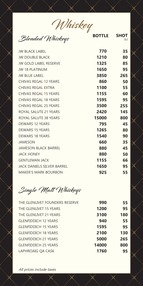Whiskey

**SHOT** 3cl

**BOTTLE** 

Blended Whiskeys

| v                                 |       |     |
|-----------------------------------|-------|-----|
| <b>JW BLACK LABEL</b>             | 770   | 35  |
| <b>JW DOUBLE BLACK</b>            | 1210  | 80  |
| <b>JW GOLD LABEL RESERVE</b>      | 1325  | 85  |
| <b>JW 18 PLATINUM</b>             | 1650  | 95  |
| <b>JW BLUE LABEL</b>              | 3850  | 265 |
| <b>CHIVAS REGAL 12 YEARS</b>      | 860   | 50  |
| CHIVAS REGAL EXTRA                | 1100  | 55  |
| <b>CHIVAS REGAL 15 YEARS</b>      | 1155  | 60  |
| <b>CHIVAS REGAL 18 YEARS</b>      | 1595  | 95  |
| <b>CHIVAS REGAL 25 YEARS</b>      | 3500  | 255 |
| ROYAL SALUTE 21 YEARS             | 2420  | 145 |
| ROYAL SALUTE 38 YEARS             | 15000 | 800 |
| <b>DEWARS 12 YEARS</b>            | 795   | 45  |
| <b>DEWARS 15 YEARS</b>            | 1265  | 80  |
| <b>DEWARS 18 YEARS</b>            | 1540  | 90  |
| <b>JAMESON</b>                    | 660   | 35  |
| <b>JAMESON BLACK BARREL</b>       | 880   | 45  |
| <b>JACK HONEY</b>                 | 880   | 50  |
| <b>GENTLEMAN JACK</b>             | 1155  | 66  |
| <b>JACK DANIELS SILVER BARREL</b> | 1650  | 95  |
| <b>MAKER'S MARK BOURBON</b>       | 925   | 55  |

Single Malt Whiskeys

| THE GLENLIVET FOUNDERS RESERVE | 990   | 55  |
|--------------------------------|-------|-----|
| THE GLENLIVET 15 YEARS         | 1200  | 95  |
| THE GLENLIVET 21 YEARS         | 3100  | 180 |
| <b>GLENFIDDICH 12 YEARS</b>    | 940   | 55  |
| <b>GLENFIDDICH 15 YEARS</b>    | 1595  | 95  |
| <b>GLENFIDDICH 18 YEARS</b>    | 2100  | 130 |
| <b>GLENFIDDICH 21 YEARS</b>    | 5000  | 265 |
| <b>GLENFIDDICH 25 YEARS</b>    | 14000 | 800 |
| LAPHROAIG QA CASK              | 1760  | 95  |
|                                |       |     |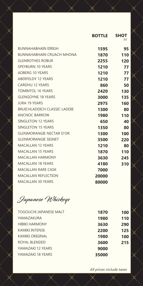|                                     | <b>BOTTLE</b> | <b>SHOT</b><br>3cl |
|-------------------------------------|---------------|--------------------|
| <b>BUNNAHABHAIN EIRIGH</b>          | 1595          | 95                 |
| <b>BUNNAHABHAIN CRUACH MHONA</b>    | 1870          | 110                |
| <b>GLENROTHES ROBUR</b>             | 2255          | 120                |
| <b>SPEYBURN 10 YEARS</b>            | 1210          | 77                 |
| <b>ADBERG 10 YEARS</b>              | 1210          | 77                 |
| <b>ABERFELDY 12 YEARS</b>           | 1210          | 77                 |
| <b>CARDHU 12 YEARS</b>              | 860           | 50                 |
| <b>TOMINTOL 16 YEARS</b>            | 2420          | 130                |
| <b>GLENGOYNE 18 YEARS</b>           | 3000          | 135                |
| <b>JURA 19 YEARS</b>                | 2975          | 160                |
| <b>BRUICHLADDICH CLASSIC LADDIE</b> | 1300          | 80                 |
| <b>ANCNOC BARROW</b>                | 1980          | 110                |
| <b>SINGLETON 12 YEARS</b>           | 650           | 40                 |
| <b>SINGLETON 15 YEARS</b>           | 1350          | 80                 |
| <b>GLENMORANGIE NECTAR D'OR</b>     | 1300          | 100                |
| <b>GLENMORANGIE SIGNET</b>          | 3500          | 220                |
| <b>MACALLAN 12 YEARS</b>            | 1210          | 80                 |
| <b>MACALLAN 15 YEARS</b>            | 1870          | 110                |
| <b>MACALLAN HARMONY</b>             | 3630          | 245                |
| <b>MACALLAN 18 YEARS</b>            | 4180          | 310                |
| MACALLAN RARE CASK                  | 7000          |                    |
| <b>MACALLAN REFLECTION</b>          | 20000         |                    |
| <b>MACALLAN 30 YEARS</b>            | 80000         |                    |
|                                     |               |                    |

Japanese Whiskeys

| <b>TOGOUCHI JAPANESE MALT</b> | 1870  | 100 |
|-------------------------------|-------|-----|
| YAMAZAKURA                    | 1980  | 110 |
| <b>HIBIKI HARMONY</b>         | 3630  | 290 |
| <b>KAMIKI INTENSE</b>         | 2200  | 125 |
| <b>KAMIKI ORIGINAL</b>        | 1980  | 100 |
| ROYAL BLENDED                 | 3600  | 215 |
| YAMAZAKI 12 YEARS             | 9000  |     |
| YAMAZAKI 18 YEARS             | 35000 |     |
|                               |       |     |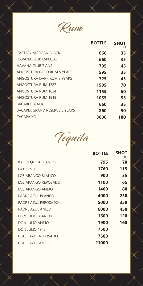

|                                      | <b>BOTTLE</b> | <b>SHOT</b><br>3cl |
|--------------------------------------|---------------|--------------------|
| CAPTAIN MORGAN BLACK                 | 660           | 35                 |
| HAVANA CLUB ESPECIAL                 | 660           | 35                 |
| HAVANA CLUB 7 ANS                    | 795           | 45                 |
| ANGOSTURA GOLD RUM 5 YEARS           | 595           | 35                 |
| ANGOSTURA DARK RUM 7 YEARS           | 725           | 45                 |
| ANGOSTURA RUM 1787                   | 1595          | 70                 |
| ANGOSTURA RUM 1824                   | 1155          | 60                 |
| ANGOSTURA RUM 1919                   | 1055          | 55                 |
| BACARDI BLACK                        | 660           | 35                 |
| <b>BACARDI GRAND RESERVE 8 YEARS</b> | 860           | 50                 |
| ZACAPA XO                            | 3000          | 180                |
|                                      |               |                    |



|                            | <b>BOTTLE</b> | <b>SHOT</b><br>3cl |
|----------------------------|---------------|--------------------|
| <b>KAH TEQUILA BLANCO</b>  | 795           | 70                 |
| <b>PATRON XO</b>           | 1760          | 115                |
| <b>LOS ARANGO BLANCO</b>   | 900           | 55                 |
| LOS ARANGO REPOSADO        | 1100          | 65                 |
| LOS ARANGO ANEJO           | 1400          | 80                 |
| PADRE AZUL BLANCO          | 4000          | 250                |
| PADRE AZUL REPOSADO        | 5000          | 350                |
| PADRE AZUL ANEJO           | 6000          | 450                |
| <b>DON JULIO BLANCO</b>    | 1600          | 120                |
| <b>DON JULIO ANEJO</b>     | 1900          | 160                |
| DON JULIO 1942             | 7500          |                    |
| <b>CLASE AZUL REPOSADO</b> | 7500          |                    |
| <b>CLASE AZUL ANEJO</b>    | 21000         |                    |
|                            |               |                    |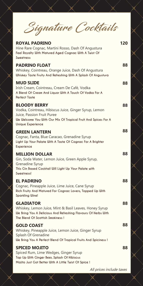Signature Cocktails

| <b>ROYAL PADRINO</b><br>Hine Rare Cognac, Martini Rosso, Dash Of Angustura<br>Feel Royalty With Matured Aged Cognac With A Twist Of<br>Sweetness                                                  | 120 |
|---------------------------------------------------------------------------------------------------------------------------------------------------------------------------------------------------|-----|
| <b>PADRINO FLOAT</b><br>Whiskey, Cointreau, Orange Juice, Dash Of Angustura<br>Whiskey Taste Fruity And Refreshing With A Splash Of Angustura                                                     | 88  |
| <b>MUD SLIDE</b><br>Irish Cream, Cointreau, Cream De Café, Vodka<br>A Blend Of Cream And Liquor With A Touch Of Vodka For A<br><b>Perfect Taste</b>                                               | 88  |
| <b>BLOODY BERRY</b><br>Vodka, Cointreau, Hibiscus Juice, Ginger Syrup, Lemon<br>Juice, Passion Fruit Puree<br>We Welcome You With Our Mix Of Tropical Fruit And Spices For A<br>Unique Experience | 88  |
| <b>GREEN LANTERN</b><br>Cognac, Fanta, Blue Caracao, Grenadine Syrup<br>Light Up Your Palate With A Taste Of Cognac For A Brighter<br>Experience                                                  | 88  |
| <b>MILLION DOLLAR</b><br>Gin, Soda Water, Lemon Juice, Green Apple Syrup,<br>Grenadine Syrup<br>This Gin Based Cocktail Will Light Up Your Palate with<br>Sweetness!                              | 88  |
| <b>EL PADRINO</b><br>Cognac, Pineapple Juice, Lime Juice, Cane Syrup<br>Rich Fruity And Matured For Cognac Lovers, Topped Up With<br><b>Sparkling Wine!</b>                                       | 88  |
| <b>GLADIATOR</b><br>Whiskey, Lemon Juice, Mint & Basil Leaves, Honey Syrup<br>We Bring You A Delicious And Refreshing Flavours Of Herbs With<br>The Blend Of Scottish Smokiness!                  | 88  |
| <b>GOLD COAST</b><br>Whiskey, Pineapple Juice, Lemon Juice, Ginger Syrup<br>Splash Of Grenadine<br>We Bring You A Perfect Blend Of Tropical Fruits And Spiciness !                                | 88  |
| <b>SPICED MOJITO</b><br>Spiced Rum, Lime Wedges, Ginger Syrup<br>Top Up With Ginger Beer, Splash Of Hibiscus<br>Mojito Just Got Better With A Little Twist Of Spice !                             | 88  |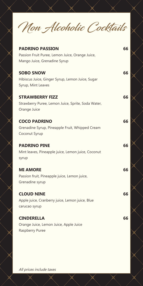Non Alcoholic Cocktails

| <b>PADRINO PASSION</b><br>Passion Fruit Puree, Lemon Juice, Orange Juice,<br>Mango Juice, Grenadine Syrup | 66 |
|-----------------------------------------------------------------------------------------------------------|----|
| <b>SOBO SNOW</b><br>Hibiscus Juice, Ginger Syrup, Lemon Juice, Sugar<br>Syrup, Mint Leaves                | 66 |
| <b>STRAWBERRY FIZZ</b><br>Strawberry Puree, Lemon Juice, Sprite, Soda Water,<br>Orange Juice              | 66 |
| <b>COCO PADRINO</b><br>Grenadine Syrup, Pineapple Fruit, Whipped Cream<br>Coconut Syrup                   | 66 |
| <b>PADRINO PINE</b><br>Mint leaves, Pineapple juice, Lemon juice, Coconut<br>syrup                        | 66 |
| <b>MI AMORE</b><br>Passion fruit, Pineapple juice, Lemon juice,<br>Grenadine syrup                        | 66 |
| <b>CLOUD NINE</b><br>Apple juice, Cranberry juice, Lemon juice, Blue<br>carucao syrup                     | 66 |
| <b>CINDERELLA</b><br>Orange Juice, Lemon Juice, Apple Juice<br>Raspberry Puree                            | 66 |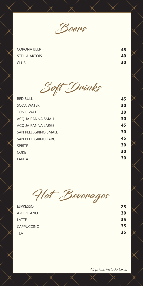

CORONA BEER STELLA ARTOIS CLUB

**45 40 30**

Soft Drinks

| <b>RED BULL</b>             | 45 |
|-----------------------------|----|
| <b>SODA WATER</b>           | 30 |
| <b>TONIC WATER</b>          | 30 |
| ACQUA PANNA SMALL           | 30 |
| ACQUA PANNA LARGE           | 45 |
| <b>SAN PELLEGRINO SMALL</b> | 30 |
| <b>SAN PELLEGRINO LARGE</b> | 45 |
| <b>SPRITE</b>               | 30 |
| <b>COKE</b>                 | 30 |
| <b>FANTA</b>                | 30 |
|                             |    |

Hot Beverages

| <b>ESPRESSO</b>   | 25 |
|-------------------|----|
| AMERICANO         | 30 |
| LATTE             | 35 |
| <b>CAPPUCCINO</b> | 35 |
| <b>TEA</b>        | 35 |
|                   |    |